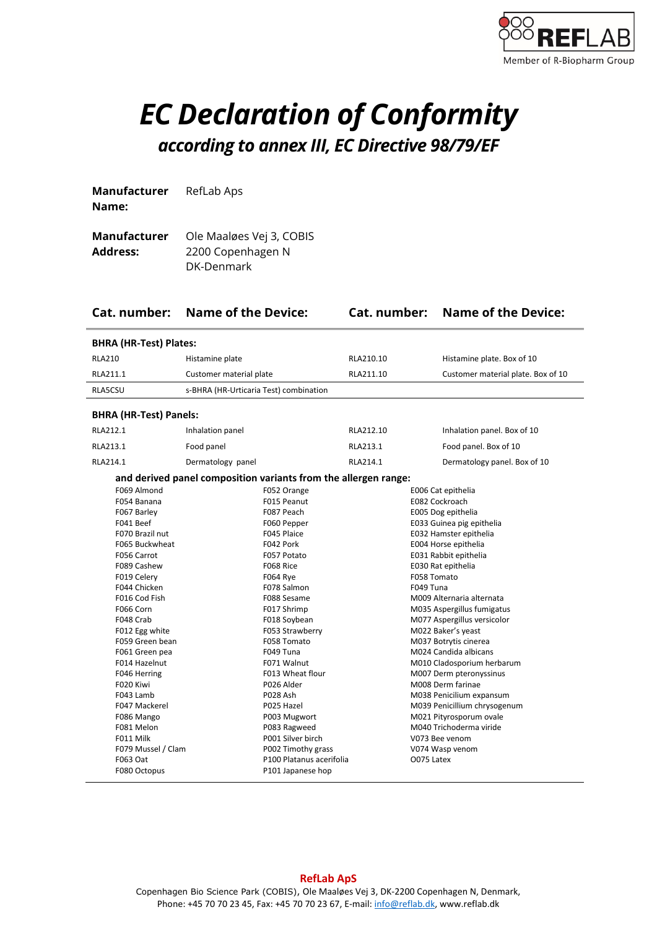

## *EC Declaration of Conformity according to annex III, EC Directive 98/79/EF*

**Manufacturer Name:**  RefLab Aps

| Manufacturer | Ole Maaløes Vej 3, COBIS |
|--------------|--------------------------|
| Address:     | 2200 Copenhagen N        |
|              | DK-Denmark               |

| Cat. number:                                                                                                                                                                                                                                                                                                                                                                    | <b>Name of the Device:</b>             |                                                                                                                                                                                                                                                                                                                                                                                |           |                          | <b>Cat. number:</b> Name of the Device:                                                                                                                                                                                                                                                                                                                                                                                                                                                                                                                                      |  |
|---------------------------------------------------------------------------------------------------------------------------------------------------------------------------------------------------------------------------------------------------------------------------------------------------------------------------------------------------------------------------------|----------------------------------------|--------------------------------------------------------------------------------------------------------------------------------------------------------------------------------------------------------------------------------------------------------------------------------------------------------------------------------------------------------------------------------|-----------|--------------------------|------------------------------------------------------------------------------------------------------------------------------------------------------------------------------------------------------------------------------------------------------------------------------------------------------------------------------------------------------------------------------------------------------------------------------------------------------------------------------------------------------------------------------------------------------------------------------|--|
| <b>BHRA (HR-Test) Plates:</b>                                                                                                                                                                                                                                                                                                                                                   |                                        |                                                                                                                                                                                                                                                                                                                                                                                |           |                          |                                                                                                                                                                                                                                                                                                                                                                                                                                                                                                                                                                              |  |
| <b>RLA210</b>                                                                                                                                                                                                                                                                                                                                                                   | Histamine plate                        |                                                                                                                                                                                                                                                                                                                                                                                | RLA210.10 |                          | Histamine plate. Box of 10                                                                                                                                                                                                                                                                                                                                                                                                                                                                                                                                                   |  |
| RLA211.1                                                                                                                                                                                                                                                                                                                                                                        | Customer material plate                |                                                                                                                                                                                                                                                                                                                                                                                | RLA211.10 |                          | Customer material plate. Box of 10                                                                                                                                                                                                                                                                                                                                                                                                                                                                                                                                           |  |
| RLA5CSU                                                                                                                                                                                                                                                                                                                                                                         | s-BHRA (HR-Urticaria Test) combination |                                                                                                                                                                                                                                                                                                                                                                                |           |                          |                                                                                                                                                                                                                                                                                                                                                                                                                                                                                                                                                                              |  |
| <b>BHRA (HR-Test) Panels:</b>                                                                                                                                                                                                                                                                                                                                                   |                                        |                                                                                                                                                                                                                                                                                                                                                                                |           |                          |                                                                                                                                                                                                                                                                                                                                                                                                                                                                                                                                                                              |  |
| RLA212.1                                                                                                                                                                                                                                                                                                                                                                        | Inhalation panel                       |                                                                                                                                                                                                                                                                                                                                                                                | RLA212.10 |                          | Inhalation panel. Box of 10                                                                                                                                                                                                                                                                                                                                                                                                                                                                                                                                                  |  |
| RLA213.1                                                                                                                                                                                                                                                                                                                                                                        | Food panel                             |                                                                                                                                                                                                                                                                                                                                                                                | RLA213.1  |                          | Food panel. Box of 10                                                                                                                                                                                                                                                                                                                                                                                                                                                                                                                                                        |  |
| RLA214.1                                                                                                                                                                                                                                                                                                                                                                        | Dermatology panel                      |                                                                                                                                                                                                                                                                                                                                                                                | RLA214.1  |                          | Dermatology panel. Box of 10                                                                                                                                                                                                                                                                                                                                                                                                                                                                                                                                                 |  |
| and derived panel composition variants from the allergen range:                                                                                                                                                                                                                                                                                                                 |                                        |                                                                                                                                                                                                                                                                                                                                                                                |           |                          |                                                                                                                                                                                                                                                                                                                                                                                                                                                                                                                                                                              |  |
| F069 Almond<br>F054 Banana<br>F067 Barley<br>F041 Beef<br>F070 Brazil nut<br>F065 Buckwheat<br>F056 Carrot<br>F089 Cashew<br>F019 Celery<br>F044 Chicken<br>F016 Cod Fish<br>F066 Corn<br>F048 Crab<br>F012 Egg white<br>F059 Green bean<br>F061 Green pea<br>F014 Hazelnut<br>F046 Herring<br>F020 Kiwi<br>F043 Lamb<br>F047 Mackerel<br>F086 Mango<br>F081 Melon<br>F011 Milk |                                        | F052 Orange<br>F015 Peanut<br>F087 Peach<br>F060 Pepper<br>F045 Plaice<br>F042 Pork<br>F057 Potato<br>F068 Rice<br><b>F064 Rye</b><br>F078 Salmon<br>F088 Sesame<br>F017 Shrimp<br>F018 Soybean<br>F053 Strawberry<br>F058 Tomato<br>F049 Tuna<br>F071 Walnut<br>F013 Wheat flour<br>P026 Alder<br>P028 Ash<br>P025 Hazel<br>P003 Mugwort<br>P083 Ragweed<br>P001 Silver birch |           | F058 Tomato<br>F049 Tuna | E006 Cat epithelia<br>E082 Cockroach<br>E005 Dog epithelia<br>E033 Guinea pig epithelia<br>E032 Hamster epithelia<br>E004 Horse epithelia<br>E031 Rabbit epithelia<br>E030 Rat epithelia<br>M009 Alternaria alternata<br>M035 Aspergillus fumigatus<br>M077 Aspergillus versicolor<br>M022 Baker's yeast<br>M037 Botrytis cinerea<br>M024 Candida albicans<br>M010 Cladosporium herbarum<br>M007 Derm pteronyssinus<br>M008 Derm farinae<br>M038 Penicilium expansum<br>M039 Penicillium chrysogenum<br>M021 Pityrosporum ovale<br>M040 Trichoderma viride<br>V073 Bee venom |  |
| F079 Mussel / Clam<br>F063 Oat<br>F080 Octopus                                                                                                                                                                                                                                                                                                                                  |                                        | P002 Timothy grass<br>P100 Platanus acerifolia<br>P101 Japanese hop                                                                                                                                                                                                                                                                                                            |           | O075 Latex               | V074 Wasp venom                                                                                                                                                                                                                                                                                                                                                                                                                                                                                                                                                              |  |